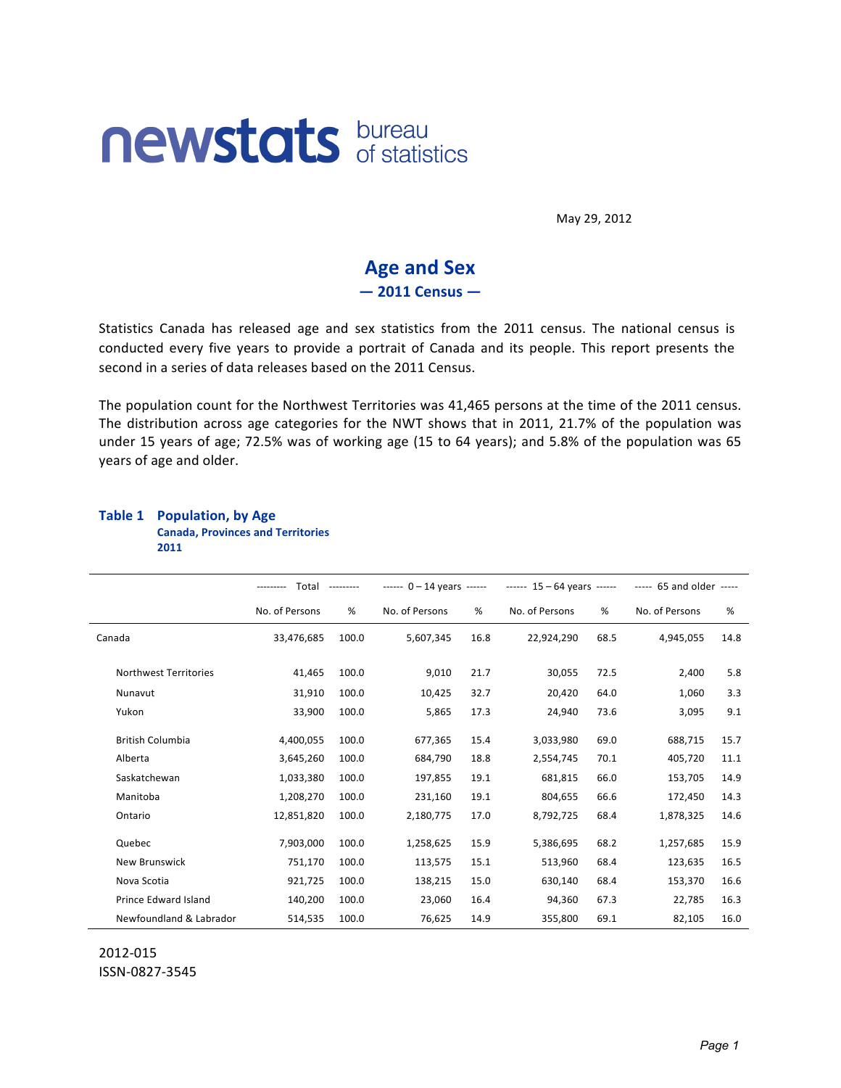# **newstats bureau**

May 29, 2012

# **Age and Sex**  $-2011$  Census  $-$

Statistics Canada has released age and sex statistics from the 2011 census. The national census is conducted every five years to provide a portrait of Canada and its people. This report presents the second in a series of data releases based on the 2011 Census.

The population count for the Northwest Territories was 41,465 persons at the time of the 2011 census. The distribution across age categories for the NWT shows that in 2011, 21.7% of the population was under 15 years of age; 72.5% was of working age (15 to 64 years); and 5.8% of the population was 65 years of age and older.

|                              | Total<br>--------- |       | $--- 0 - 14$ years $---$ |      | $--- 15 - 64 years$ |      | ----- 65 and older ----- |      |  |
|------------------------------|--------------------|-------|--------------------------|------|---------------------|------|--------------------------|------|--|
|                              | No. of Persons     | %     | No. of Persons           | %    | No. of Persons      | %    | No. of Persons           | $\%$ |  |
| Canada                       | 33,476,685         | 100.0 | 5,607,345                | 16.8 | 22,924,290          | 68.5 | 4,945,055                | 14.8 |  |
| <b>Northwest Territories</b> | 41,465             | 100.0 | 9,010                    | 21.7 | 30,055              | 72.5 | 2,400                    | 5.8  |  |
| Nunavut                      | 31,910             | 100.0 | 10,425                   | 32.7 | 20,420              | 64.0 | 1,060                    | 3.3  |  |
| Yukon                        | 33,900             | 100.0 | 5,865                    | 17.3 | 24,940              | 73.6 | 3,095                    | 9.1  |  |
| <b>British Columbia</b>      | 4,400,055          | 100.0 | 677,365                  | 15.4 | 3,033,980           | 69.0 | 688,715                  | 15.7 |  |
| Alberta                      | 3,645,260          | 100.0 | 684,790                  | 18.8 | 2,554,745           | 70.1 | 405,720                  | 11.1 |  |
| Saskatchewan                 | 1,033,380          | 100.0 | 197,855                  | 19.1 | 681,815             | 66.0 | 153,705                  | 14.9 |  |
| Manitoba                     | 1,208,270          | 100.0 | 231,160                  | 19.1 | 804,655             | 66.6 | 172,450                  | 14.3 |  |
| Ontario                      | 12,851,820         | 100.0 | 2,180,775                | 17.0 | 8,792,725           | 68.4 | 1,878,325                | 14.6 |  |
| Quebec                       | 7,903,000          | 100.0 | 1,258,625                | 15.9 | 5,386,695           | 68.2 | 1,257,685                | 15.9 |  |
| <b>New Brunswick</b>         | 751,170            | 100.0 | 113,575                  | 15.1 | 513,960             | 68.4 | 123,635                  | 16.5 |  |
| Nova Scotia                  | 921,725            | 100.0 | 138,215                  | 15.0 | 630,140             | 68.4 | 153,370                  | 16.6 |  |
| Prince Edward Island         | 140,200            | 100.0 | 23,060                   | 16.4 | 94,360              | 67.3 | 22,785                   | 16.3 |  |
| Newfoundland & Labrador      | 514,535            | 100.0 | 76,625                   | 14.9 | 355,800             | 69.1 | 82,105                   | 16.0 |  |

#### **Table 1 Population, by Age Canada, Provinces and Territories 2011**

2012-015 ISSN-0827-3545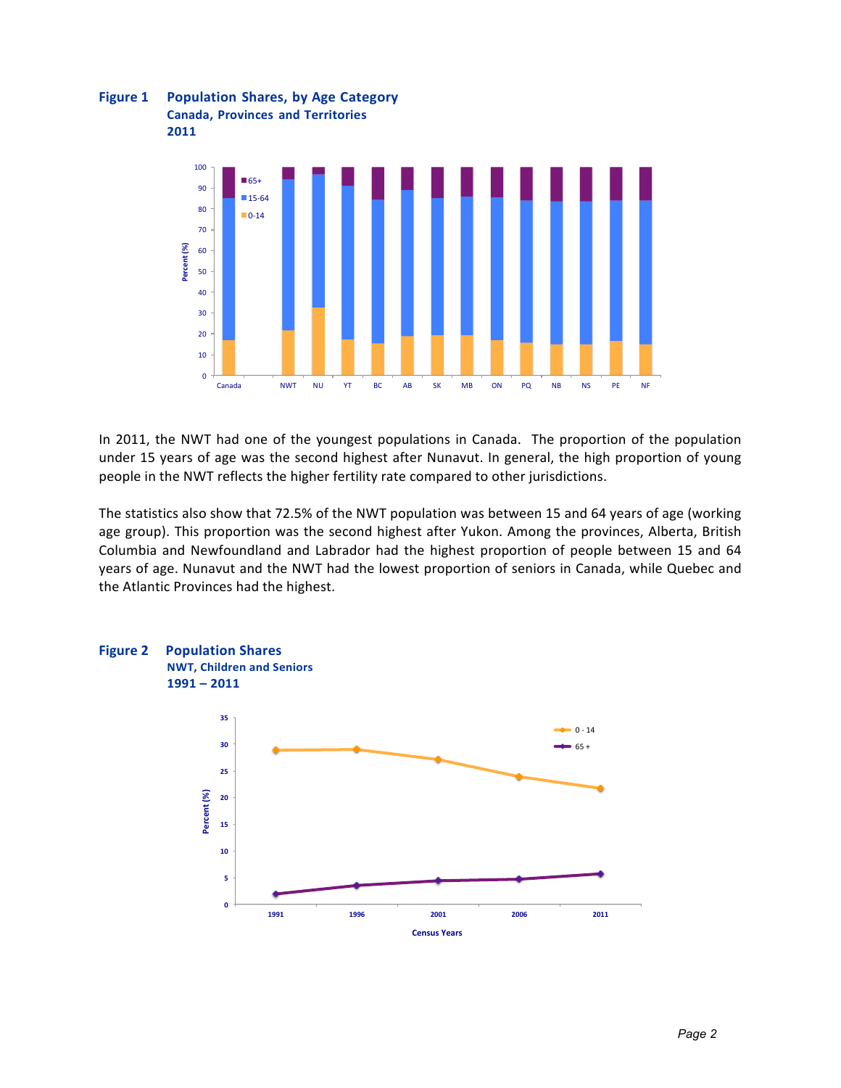



In 2011, the NWT had one of the youngest populations in Canada. The proportion of the population under 15 years of age was the second highest after Nunavut. In general, the high proportion of young people in the NWT reflects the higher fertility rate compared to other jurisdictions.

The statistics also show that 72.5% of the NWT population was between 15 and 64 years of age (working age group). This proportion was the second highest after Yukon. Among the provinces, Alberta, British Columbia and Newfoundland and Labrador had the highest proportion of people between 15 and 64 years of age. Nunavut and the NWT had the lowest proportion of seniors in Canada, while Quebec and the Atlantic Provinces had the highest.

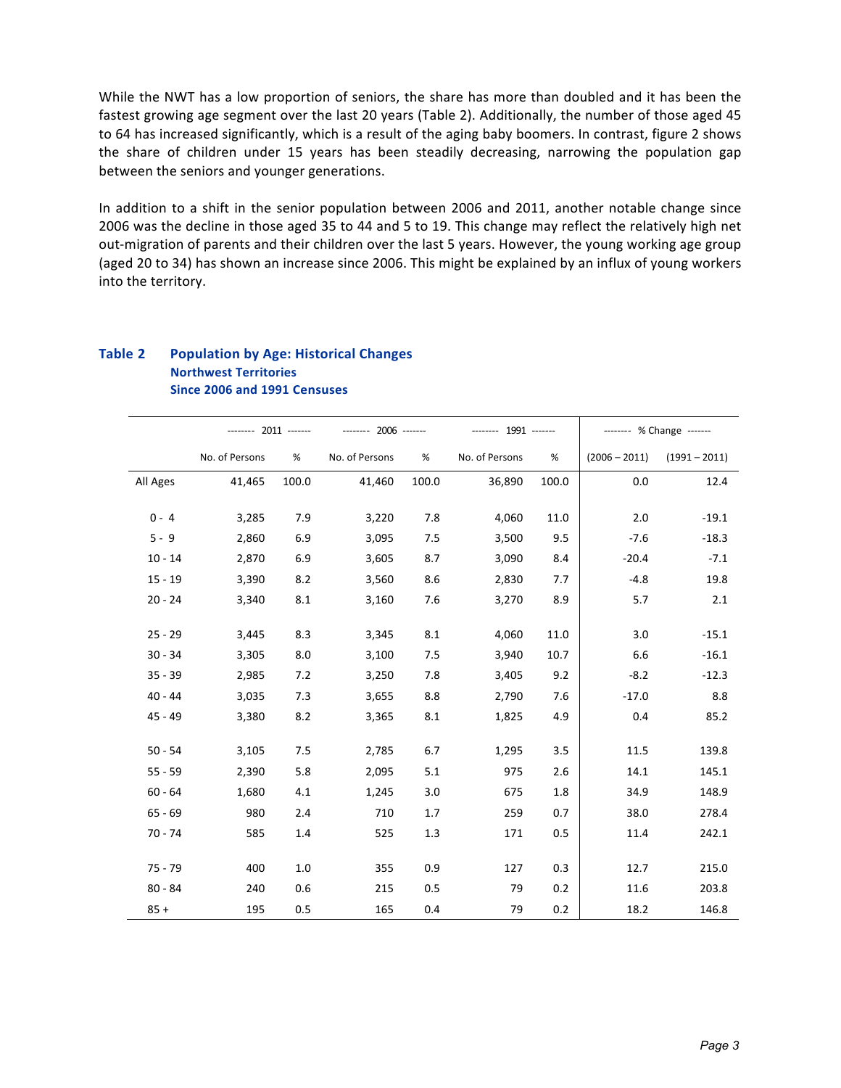While the NWT has a low proportion of seniors, the share has more than doubled and it has been the fastest growing age segment over the last 20 years (Table 2). Additionally, the number of those aged 45 to 64 has increased significantly, which is a result of the aging baby boomers. In contrast, figure 2 shows the share of children under 15 years has been steadily decreasing, narrowing the population gap between the seniors and younger generations.

In addition to a shift in the senior population between 2006 and 2011, another notable change since 2006 was the decline in those aged 35 to 44 and 5 to 19. This change may reflect the relatively high net out-migration of parents and their children over the last 5 years. However, the young working age group (aged 20 to 34) has shown an increase since 2006. This might be explained by an influx of young workers into the territory.

#### **Table 2 • Population by Age: Historical Changes Northwest\$Territories Since\$2006\$and\$1991 Censuses**

|           | -------- 2011 ------- |       | -------- 2006 ------- |       | -------- 1991 ------- |       | ------- % Change ------- |                 |  |  |
|-----------|-----------------------|-------|-----------------------|-------|-----------------------|-------|--------------------------|-----------------|--|--|
|           | No. of Persons        | %     | No. of Persons        | %     | No. of Persons        | $\%$  | $(2006 - 2011)$          | $(1991 - 2011)$ |  |  |
| All Ages  | 41,465                | 100.0 | 41,460                | 100.0 | 36,890                | 100.0 | 0.0                      | 12.4            |  |  |
| $0 - 4$   | 3,285                 | 7.9   | 3,220                 | 7.8   | 4,060                 | 11.0  | 2.0                      | $-19.1$         |  |  |
| $5 - 9$   | 2,860                 | 6.9   | 3,095                 | 7.5   | 3,500                 | 9.5   | $-7.6$                   | $-18.3$         |  |  |
| $10 - 14$ | 2,870                 | 6.9   | 3,605                 | 8.7   | 3,090                 | 8.4   | $-20.4$                  | $-7.1$          |  |  |
| $15 - 19$ | 3,390                 | 8.2   | 3,560                 | 8.6   | 2,830                 | 7.7   | $-4.8$                   | 19.8            |  |  |
| $20 - 24$ | 3,340                 | 8.1   | 3,160                 | 7.6   | 3,270                 | 8.9   | 5.7                      | 2.1             |  |  |
|           |                       |       |                       |       |                       |       |                          |                 |  |  |
| $25 - 29$ | 3,445                 | 8.3   | 3,345                 | 8.1   | 4,060                 | 11.0  | 3.0                      | $-15.1$         |  |  |
| $30 - 34$ | 3,305                 | 8.0   | 3,100                 | 7.5   | 3,940                 | 10.7  | 6.6                      | $-16.1$         |  |  |
| $35 - 39$ | 2,985                 | 7.2   | 3,250                 | 7.8   | 3,405                 | 9.2   | $-8.2$                   | $-12.3$         |  |  |
| $40 - 44$ | 3,035                 | 7.3   | 3,655                 | 8.8   | 2,790                 | 7.6   | $-17.0$                  | 8.8             |  |  |
| $45 - 49$ | 3,380                 | 8.2   | 3,365                 | 8.1   | 1,825                 | 4.9   | 0.4                      | 85.2            |  |  |
|           |                       |       |                       |       |                       |       |                          |                 |  |  |
| $50 - 54$ | 3,105                 | 7.5   | 2,785                 | 6.7   | 1,295                 | 3.5   | 11.5                     | 139.8           |  |  |
| $55 - 59$ | 2,390                 | 5.8   | 2,095                 | 5.1   | 975                   | 2.6   | 14.1                     | 145.1           |  |  |
| $60 - 64$ | 1,680                 | 4.1   | 1,245                 | 3.0   | 675                   | 1.8   | 34.9                     | 148.9           |  |  |
| $65 - 69$ | 980                   | 2.4   | 710                   | 1.7   | 259                   | 0.7   | 38.0                     | 278.4           |  |  |
| $70 - 74$ | 585                   | 1.4   | 525                   | 1.3   | 171                   | 0.5   | 11.4                     | 242.1           |  |  |
|           |                       |       |                       |       |                       |       |                          |                 |  |  |
| $75 - 79$ | 400                   | 1.0   | 355                   | 0.9   | 127                   | 0.3   | 12.7                     | 215.0           |  |  |
| $80 - 84$ | 240                   | 0.6   | 215                   | 0.5   | 79                    | 0.2   | 11.6                     | 203.8           |  |  |
| $85 +$    | 195                   | 0.5   | 165                   | 0.4   | 79                    | 0.2   | 18.2                     | 146.8           |  |  |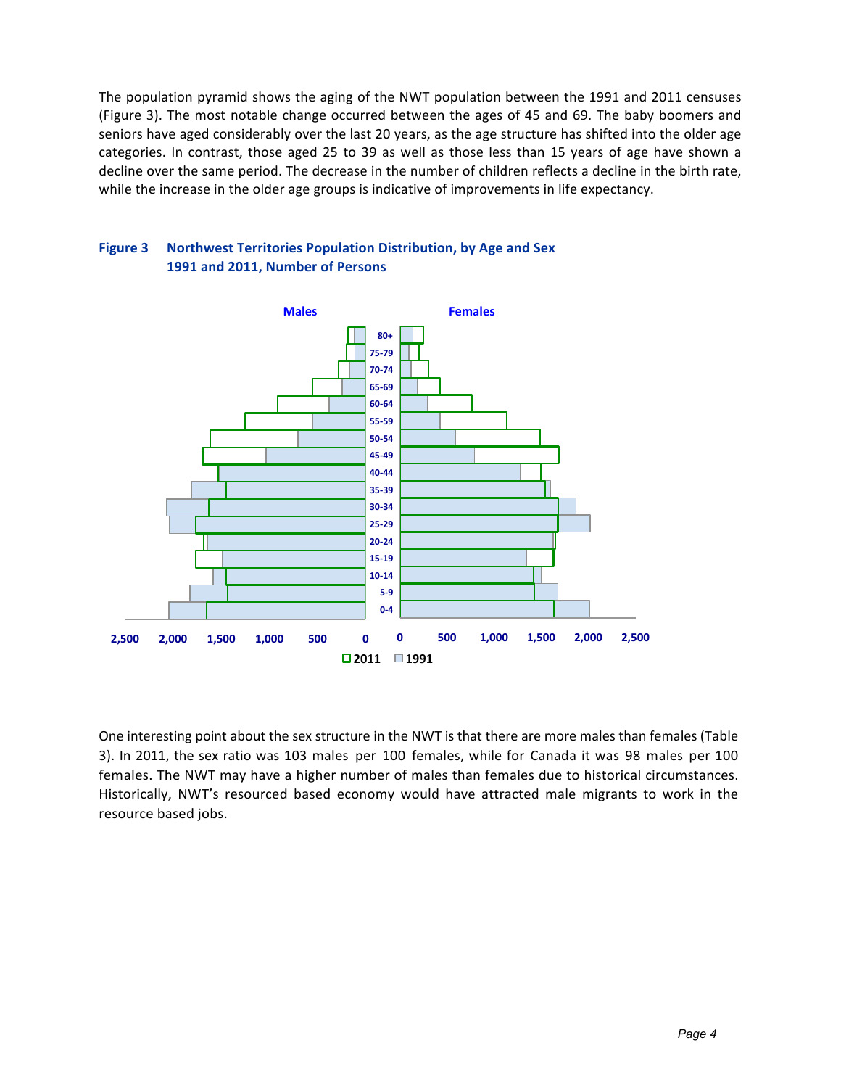The population pyramid shows the aging of the NWT population between the 1991 and 2011 censuses (Figure 3). The most notable change occurred between the ages of 45 and 69. The baby boomers and seniors have aged considerably over the last 20 years, as the age structure has shifted into the older age categories. In contrast, those aged 25 to 39 as well as those less than 15 years of age have shown a decline over the same period. The decrease in the number of children reflects a decline in the birth rate, while the increase in the older age groups is indicative of improvements in life expectancy.





One interesting point about the sex structure in the NWT is that there are more males than females (Table 3). In 2011, the sex ratio was 103 males per 100 females, while for Canada it was 98 males per 100 females. The NWT may have a higher number of males than females due to historical circumstances. Historically, NWT's resourced based economy would have attracted male migrants to work in the resource based jobs.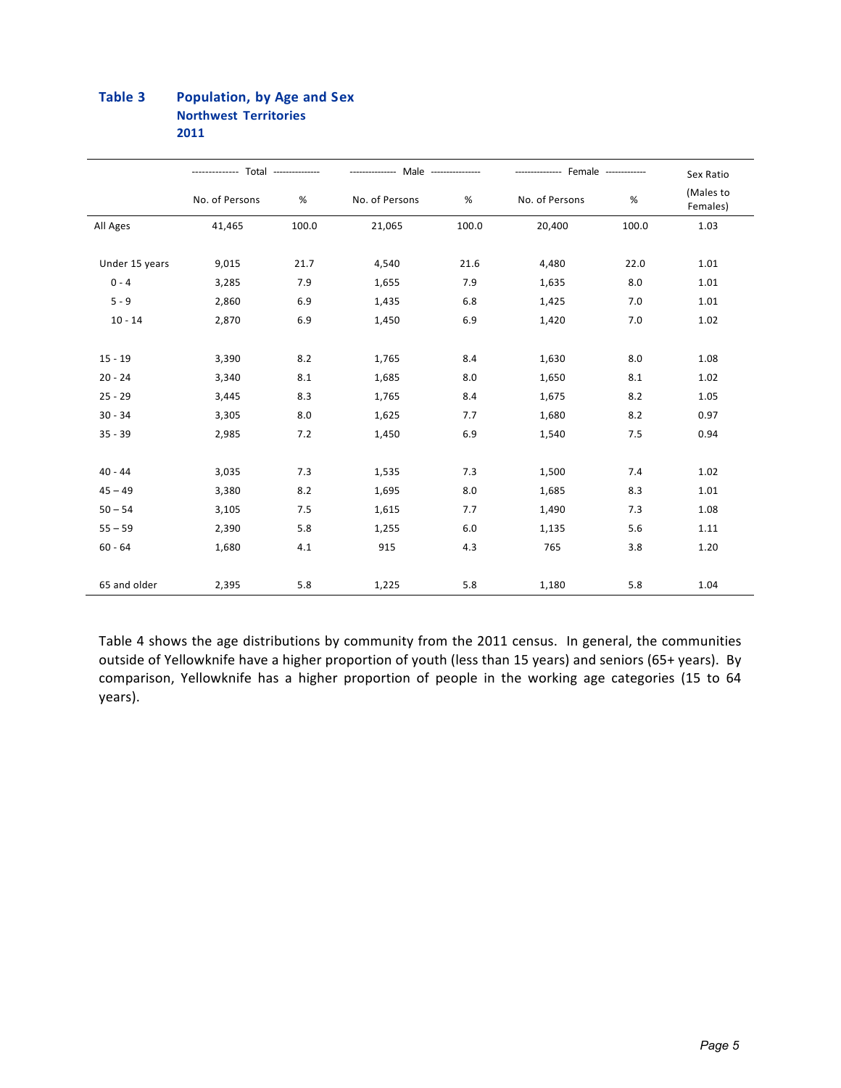#### Table 3 **Population, by Age and Sex Northwest Territories** 2011

|                | -------------- Total --------------- |       | --------------- Male --------------- |       | --------------- Female ------------- | Sex Ratio |                       |  |
|----------------|--------------------------------------|-------|--------------------------------------|-------|--------------------------------------|-----------|-----------------------|--|
|                | No. of Persons                       | %     | No. of Persons                       | %     | No. of Persons                       | $\%$      | (Males to<br>Females) |  |
| All Ages       | 41,465                               | 100.0 | 21,065                               | 100.0 | 20,400                               | 100.0     | 1.03                  |  |
| Under 15 years | 9,015                                | 21.7  | 4,540                                | 21.6  | 4,480                                | 22.0      | 1.01                  |  |
| $0 - 4$        | 3,285                                | 7.9   | 1,655                                | 7.9   | 1,635                                | 8.0       | 1.01                  |  |
| $5 - 9$        | 2,860                                | 6.9   | 1,435                                | 6.8   | 1,425                                | 7.0       | 1.01                  |  |
| $10 - 14$      | 2,870                                | 6.9   | 1,450                                | 6.9   | 1,420                                | 7.0       | 1.02                  |  |
| $15 - 19$      | 3,390                                | 8.2   | 1,765                                | 8.4   | 1,630                                | 8.0       | 1.08                  |  |
| $20 - 24$      | 3,340                                | 8.1   | 1,685                                | 8.0   | 1,650                                | 8.1       | 1.02                  |  |
| $25 - 29$      | 3,445                                | 8.3   | 1,765                                | 8.4   | 1,675                                | 8.2       | 1.05                  |  |
| $30 - 34$      | 3,305                                | 8.0   | 1,625                                | 7.7   | 1,680                                | 8.2       | 0.97                  |  |
| $35 - 39$      | 2,985                                | 7.2   | 1,450                                | 6.9   | 1,540                                | 7.5       | 0.94                  |  |
| $40 - 44$      | 3,035                                | 7.3   | 1,535                                | 7.3   | 1,500                                | 7.4       | 1.02                  |  |
| $45 - 49$      | 3,380                                | 8.2   | 1,695                                | 8.0   | 1,685                                | 8.3       | 1.01                  |  |
| $50 - 54$      | 3,105                                | 7.5   | 1,615                                | 7.7   | 1,490                                | 7.3       | 1.08                  |  |
| $55 - 59$      | 2,390                                | 5.8   | 1,255                                | 6.0   | 1,135                                | 5.6       | 1.11                  |  |
| $60 - 64$      | 1,680                                | 4.1   | 915                                  | 4.3   | 765                                  | 3.8       | 1.20                  |  |
| 65 and older   | 2,395                                | 5.8   | 1,225                                | 5.8   | 1,180                                | 5.8       | 1.04                  |  |

Table 4 shows the age distributions by community from the 2011 census. In general, the communities outside of Yellowknife have a higher proportion of youth (less than 15 years) and seniors (65+ years). By comparison, Yellowknife has a higher proportion of people in the working age categories (15 to 64 years).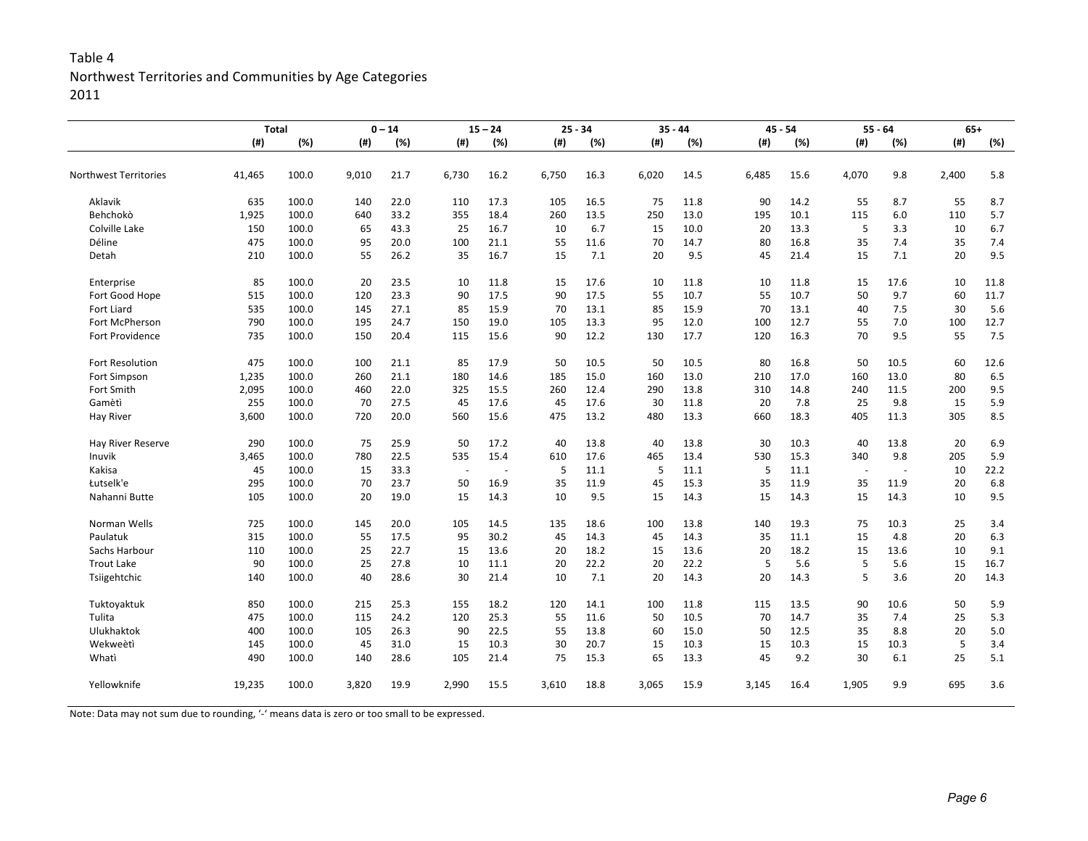### Table 4 Northwest Territories and Communities by Age Categories 2011

|                              | <b>Total</b> |       | $0 - 14$ |      | $15 - 24$ |      |       | $25 - 34$ |       | $35 - 44$ |       | $45 - 54$ |                          | $55 - 64$ |       | $65+$ |  |
|------------------------------|--------------|-------|----------|------|-----------|------|-------|-----------|-------|-----------|-------|-----------|--------------------------|-----------|-------|-------|--|
|                              | (# )         | (%)   | (#)      | (%)  | (# )      | (%)  | (# )  | (%)       | (# )  | (%)       | (#)   | (%)       | (#)                      | (%)       | (#)   | (%)   |  |
| <b>Northwest Territories</b> | 41,465       | 100.0 | 9,010    | 21.7 | 6,730     | 16.2 | 6,750 | 16.3      | 6,020 | 14.5      | 6,485 | 15.6      | 4,070                    | 9.8       | 2,400 | 5.8   |  |
| Aklavik                      | 635          | 100.0 | 140      | 22.0 | 110       | 17.3 | 105   | 16.5      | 75    | 11.8      | 90    | 14.2      | 55                       | 8.7       | 55    | 8.7   |  |
| Behchokò                     | 1,925        | 100.0 | 640      | 33.2 | 355       | 18.4 | 260   | 13.5      | 250   | 13.0      | 195   | 10.1      | 115                      | 6.0       | 110   | 5.7   |  |
| Colville Lake                | 150          | 100.0 | 65       | 43.3 | 25        | 16.7 | 10    | 6.7       | 15    | 10.0      | 20    | 13.3      | 5                        | 3.3       | 10    | 6.7   |  |
| Déline                       | 475          | 100.0 | 95       | 20.0 | 100       | 21.1 | 55    | 11.6      | 70    | 14.7      | 80    | 16.8      | 35                       | 7.4       | 35    | 7.4   |  |
| Detah                        | 210          | 100.0 | 55       | 26.2 | 35        | 16.7 | 15    | 7.1       | 20    | 9.5       | 45    | 21.4      | 15                       | 7.1       | 20    | 9.5   |  |
| Enterprise                   | 85           | 100.0 | 20       | 23.5 | 10        | 11.8 | 15    | 17.6      | 10    | 11.8      | 10    | 11.8      | 15                       | 17.6      | 10    | 11.8  |  |
| Fort Good Hope               | 515          | 100.0 | 120      | 23.3 | 90        | 17.5 | 90    | 17.5      | 55    | 10.7      | 55    | 10.7      | 50                       | 9.7       | 60    | 11.7  |  |
| Fort Liard                   | 535          | 100.0 | 145      | 27.1 | 85        | 15.9 | 70    | 13.1      | 85    | 15.9      | 70    | 13.1      | 40                       | 7.5       | 30    | 5.6   |  |
| Fort McPherson               | 790          | 100.0 | 195      | 24.7 | 150       | 19.0 | 105   | 13.3      | 95    | 12.0      | 100   | 12.7      | 55                       | 7.0       | 100   | 12.7  |  |
| <b>Fort Providence</b>       | 735          | 100.0 | 150      | 20.4 | 115       | 15.6 | 90    | 12.2      | 130   | 17.7      | 120   | 16.3      | 70                       | 9.5       | 55    | 7.5   |  |
| Fort Resolution              | 475          | 100.0 | 100      | 21.1 | 85        | 17.9 | 50    | 10.5      | 50    | 10.5      | 80    | 16.8      | 50                       | 10.5      | 60    | 12.6  |  |
| Fort Simpson                 | 1,235        | 100.0 | 260      | 21.1 | 180       | 14.6 | 185   | 15.0      | 160   | 13.0      | 210   | 17.0      | 160                      | 13.0      | 80    | 6.5   |  |
| Fort Smith                   | 2,095        | 100.0 | 460      | 22.0 | 325       | 15.5 | 260   | 12.4      | 290   | 13.8      | 310   | 14.8      | 240                      | 11.5      | 200   | 9.5   |  |
| Gamètì                       | 255          | 100.0 | 70       | 27.5 | 45        | 17.6 | 45    | 17.6      | 30    | 11.8      | 20    | 7.8       | 25                       | 9.8       | 15    | 5.9   |  |
| <b>Hay River</b>             | 3,600        | 100.0 | 720      | 20.0 | 560       | 15.6 | 475   | 13.2      | 480   | 13.3      | 660   | 18.3      | 405                      | 11.3      | 305   | 8.5   |  |
| Hay River Reserve            | 290          | 100.0 | 75       | 25.9 | 50        | 17.2 | 40    | 13.8      | 40    | 13.8      | 30    | 10.3      | 40                       | 13.8      | 20    | 6.9   |  |
| Inuvik                       | 3,465        | 100.0 | 780      | 22.5 | 535       | 15.4 | 610   | 17.6      | 465   | 13.4      | 530   | 15.3      | 340                      | 9.8       | 205   | 5.9   |  |
| Kakisa                       | 45           | 100.0 | 15       | 33.3 |           |      | 5     | 11.1      | 5     | 11.1      | 5     | 11.1      | $\overline{\phantom{a}}$ |           | 10    | 22.2  |  |
| Łutselk'e                    | 295          | 100.0 | 70       | 23.7 | 50        | 16.9 | 35    | 11.9      | 45    | 15.3      | 35    | 11.9      | 35                       | 11.9      | 20    | 6.8   |  |
| Nahanni Butte                | 105          | 100.0 | 20       | 19.0 | 15        | 14.3 | 10    | 9.5       | 15    | 14.3      | 15    | 14.3      | 15                       | 14.3      | 10    | 9.5   |  |
| Norman Wells                 | 725          | 100.0 | 145      | 20.0 | 105       | 14.5 | 135   | 18.6      | 100   | 13.8      | 140   | 19.3      | 75                       | 10.3      | 25    | 3.4   |  |
| Paulatuk                     | 315          | 100.0 | 55       | 17.5 | 95        | 30.2 | 45    | 14.3      | 45    | 14.3      | 35    | 11.1      | 15                       | 4.8       | 20    | 6.3   |  |
| Sachs Harbour                | 110          | 100.0 | 25       | 22.7 | 15        | 13.6 | 20    | 18.2      | 15    | 13.6      | 20    | 18.2      | 15                       | 13.6      | 10    | 9.1   |  |
| <b>Trout Lake</b>            | 90           | 100.0 | 25       | 27.8 | 10        | 11.1 | 20    | 22.2      | 20    | 22.2      | 5     | 5.6       | 5                        | 5.6       | 15    | 16.7  |  |
| Tsiigehtchic                 | 140          | 100.0 | 40       | 28.6 | 30        | 21.4 | 10    | 7.1       | 20    | 14.3      | 20    | 14.3      | 5                        | 3.6       | 20    | 14.3  |  |
| Tuktoyaktuk                  | 850          | 100.0 | 215      | 25.3 | 155       | 18.2 | 120   | 14.1      | 100   | 11.8      | 115   | 13.5      | 90                       | 10.6      | 50    | 5.9   |  |
| Tulita                       | 475          | 100.0 | 115      | 24.2 | 120       | 25.3 | 55    | 11.6      | 50    | 10.5      | 70    | 14.7      | 35                       | 7.4       | 25    | 5.3   |  |
| Ulukhaktok                   | 400          | 100.0 | 105      | 26.3 | 90        | 22.5 | 55    | 13.8      | 60    | 15.0      | 50    | 12.5      | 35                       | 8.8       | 20    | 5.0   |  |
| Wekweètì                     | 145          | 100.0 | 45       | 31.0 | 15        | 10.3 | 30    | 20.7      | 15    | 10.3      | 15    | 10.3      | 15                       | 10.3      | 5     | 3.4   |  |
| Whati                        | 490          | 100.0 | 140      | 28.6 | 105       | 21.4 | 75    | 15.3      | 65    | 13.3      | 45    | 9.2       | 30                       | 6.1       | 25    | 5.1   |  |
| Yellowknife                  | 19,235       | 100.0 | 3,820    | 19.9 | 2,990     | 15.5 | 3,610 | 18.8      | 3,065 | 15.9      | 3,145 | 16.4      | 1,905                    | 9.9       | 695   | 3.6   |  |

Note: Data may not sum due to rounding, '-' means data is zero or too small to be expressed.